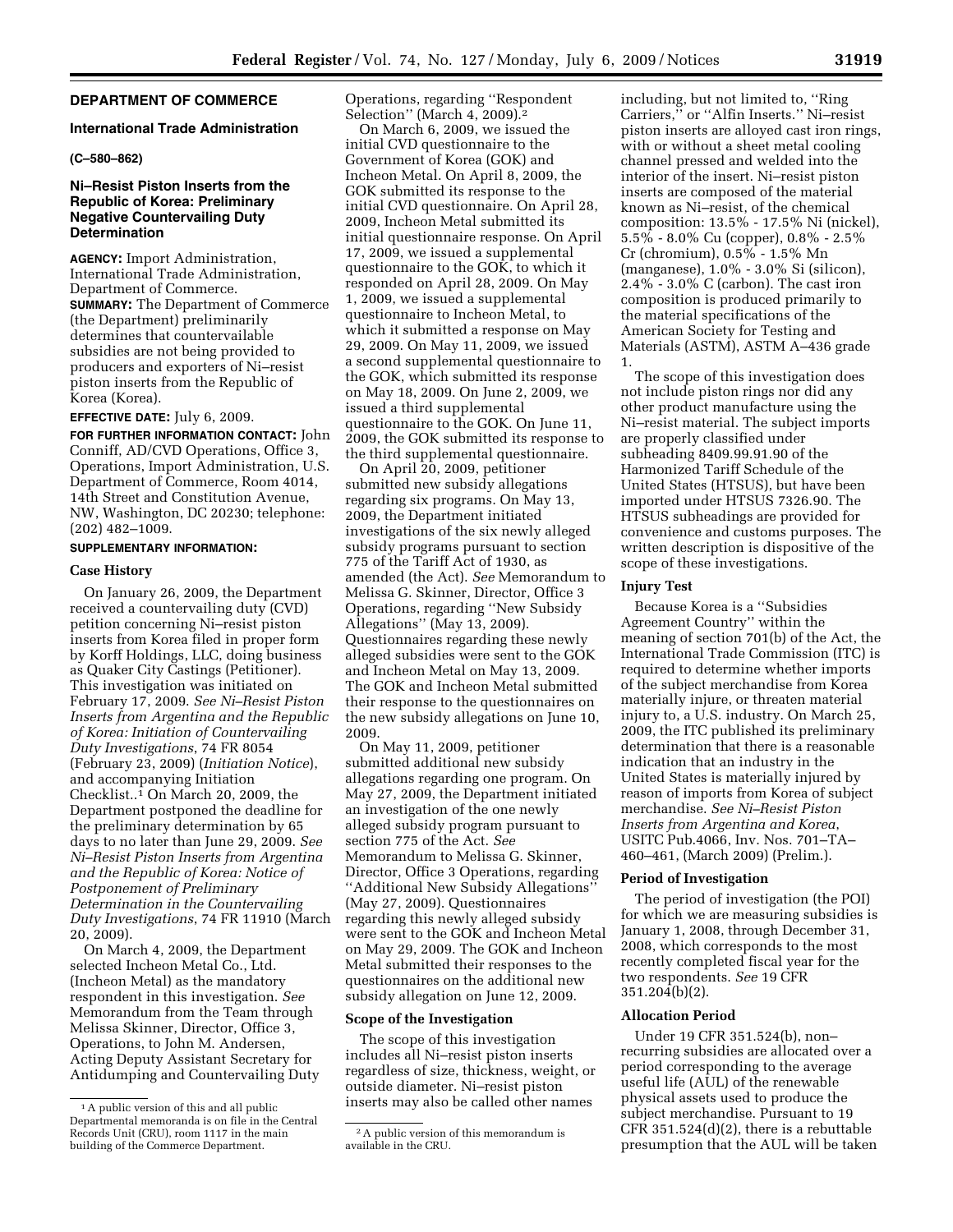# **DEPARTMENT OF COMMERCE**

## **International Trade Administration**

### **(C–580–862)**

# **Ni–Resist Piston Inserts from the Republic of Korea: Preliminary Negative Countervailing Duty Determination**

**AGENCY:** Import Administration, International Trade Administration, Department of Commerce. **SUMMARY:** The Department of Commerce (the Department) preliminarily determines that countervailable subsidies are not being provided to producers and exporters of Ni–resist piston inserts from the Republic of Korea (Korea).

### **EFFECTIVE DATE:** July 6, 2009.

**FOR FURTHER INFORMATION CONTACT:** John Conniff, AD/CVD Operations, Office 3, Operations, Import Administration, U.S. Department of Commerce, Room 4014, 14th Street and Constitution Avenue, NW, Washington, DC 20230; telephone: (202) 482–1009.

## **SUPPLEMENTARY INFORMATION:**

## **Case History**

On January 26, 2009, the Department received a countervailing duty (CVD) petition concerning Ni–resist piston inserts from Korea filed in proper form by Korff Holdings, LLC, doing business as Quaker City Castings (Petitioner). This investigation was initiated on February 17, 2009. *See Ni–Resist Piston Inserts from Argentina and the Republic of Korea: Initiation of Countervailing Duty Investigations*, 74 FR 8054 (February 23, 2009) (*Initiation Notice*), and accompanying Initiation Checklist..1 On March 20, 2009, the Department postponed the deadline for the preliminary determination by 65 days to no later than June 29, 2009. *See Ni–Resist Piston Inserts from Argentina and the Republic of Korea: Notice of Postponement of Preliminary Determination in the Countervailing Duty Investigations*, 74 FR 11910 (March 20, 2009).

On March 4, 2009, the Department selected Incheon Metal Co., Ltd. (Incheon Metal) as the mandatory respondent in this investigation. *See*  Memorandum from the Team through Melissa Skinner, Director, Office 3, Operations, to John M. Andersen, Acting Deputy Assistant Secretary for Antidumping and Countervailing Duty Operations, regarding ''Respondent Selection'' (March 4, 2009).2

On March 6, 2009, we issued the initial CVD questionnaire to the Government of Korea (GOK) and Incheon Metal. On April 8, 2009, the GOK submitted its response to the initial CVD questionnaire. On April 28, 2009, Incheon Metal submitted its initial questionnaire response. On April 17, 2009, we issued a supplemental questionnaire to the GOK, to which it responded on April 28, 2009. On May 1, 2009, we issued a supplemental questionnaire to Incheon Metal, to which it submitted a response on May 29, 2009. On May 11, 2009, we issued a second supplemental questionnaire to the GOK, which submitted its response on May 18, 2009. On June 2, 2009, we issued a third supplemental questionnaire to the GOK. On June 11, 2009, the GOK submitted its response to the third supplemental questionnaire.

On April 20, 2009, petitioner submitted new subsidy allegations regarding six programs. On May 13, 2009, the Department initiated investigations of the six newly alleged subsidy programs pursuant to section 775 of the Tariff Act of 1930, as amended (the Act). *See* Memorandum to Melissa G. Skinner, Director, Office 3 Operations, regarding ''New Subsidy Allegations'' (May 13, 2009). Questionnaires regarding these newly alleged subsidies were sent to the GOK and Incheon Metal on May 13, 2009. The GOK and Incheon Metal submitted their response to the questionnaires on the new subsidy allegations on June 10, 2009.

On May 11, 2009, petitioner submitted additional new subsidy allegations regarding one program. On May 27, 2009, the Department initiated an investigation of the one newly alleged subsidy program pursuant to section 775 of the Act. *See*  Memorandum to Melissa G. Skinner, Director, Office 3 Operations, regarding ''Additional New Subsidy Allegations'' (May 27, 2009). Questionnaires regarding this newly alleged subsidy were sent to the GOK and Incheon Metal on May 29, 2009. The GOK and Incheon Metal submitted their responses to the questionnaires on the additional new subsidy allegation on June 12, 2009.

### **Scope of the Investigation**

The scope of this investigation includes all Ni–resist piston inserts regardless of size, thickness, weight, or outside diameter. Ni–resist piston inserts may also be called other names

including, but not limited to, ''Ring Carriers,'' or ''Alfin Inserts.'' Ni–resist piston inserts are alloyed cast iron rings, with or without a sheet metal cooling channel pressed and welded into the interior of the insert. Ni–resist piston inserts are composed of the material known as Ni–resist, of the chemical composition: 13.5% - 17.5% Ni (nickel), 5.5% - 8.0% Cu (copper), 0.8% - 2.5% Cr (chromium), 0.5% - 1.5% Mn (manganese), 1.0% - 3.0% Si (silicon), 2.4% - 3.0% C (carbon). The cast iron composition is produced primarily to the material specifications of the American Society for Testing and Materials (ASTM), ASTM A–436 grade 1.

The scope of this investigation does not include piston rings nor did any other product manufacture using the Ni–resist material. The subject imports are properly classified under subheading 8409.99.91.90 of the Harmonized Tariff Schedule of the United States (HTSUS), but have been imported under HTSUS 7326.90. The HTSUS subheadings are provided for convenience and customs purposes. The written description is dispositive of the scope of these investigations.

#### **Injury Test**

Because Korea is a ''Subsidies Agreement Country'' within the meaning of section 701(b) of the Act, the International Trade Commission (ITC) is required to determine whether imports of the subject merchandise from Korea materially injure, or threaten material injury to, a U.S. industry. On March 25, 2009, the ITC published its preliminary determination that there is a reasonable indication that an industry in the United States is materially injured by reason of imports from Korea of subject merchandise. *See Ni–Resist Piston Inserts from Argentina and Korea*, USITC Pub.4066, Inv. Nos. 701–TA– 460–461, (March 2009) (Prelim.).

### **Period of Investigation**

The period of investigation (the POI) for which we are measuring subsidies is January 1, 2008, through December 31, 2008, which corresponds to the most recently completed fiscal year for the two respondents. *See* 19 CFR 351.204(b)(2).

### **Allocation Period**

Under 19 CFR 351.524(b), non– recurring subsidies are allocated over a period corresponding to the average useful life (AUL) of the renewable physical assets used to produce the subject merchandise. Pursuant to 19 CFR 351.524(d)(2), there is a rebuttable presumption that the AUL will be taken

<sup>1</sup>A public version of this and all public Departmental memoranda is on file in the Central Records Unit (CRU), room 1117 in the main building of the Commerce Department.

<sup>2</sup>A public version of this memorandum is available in the CRU.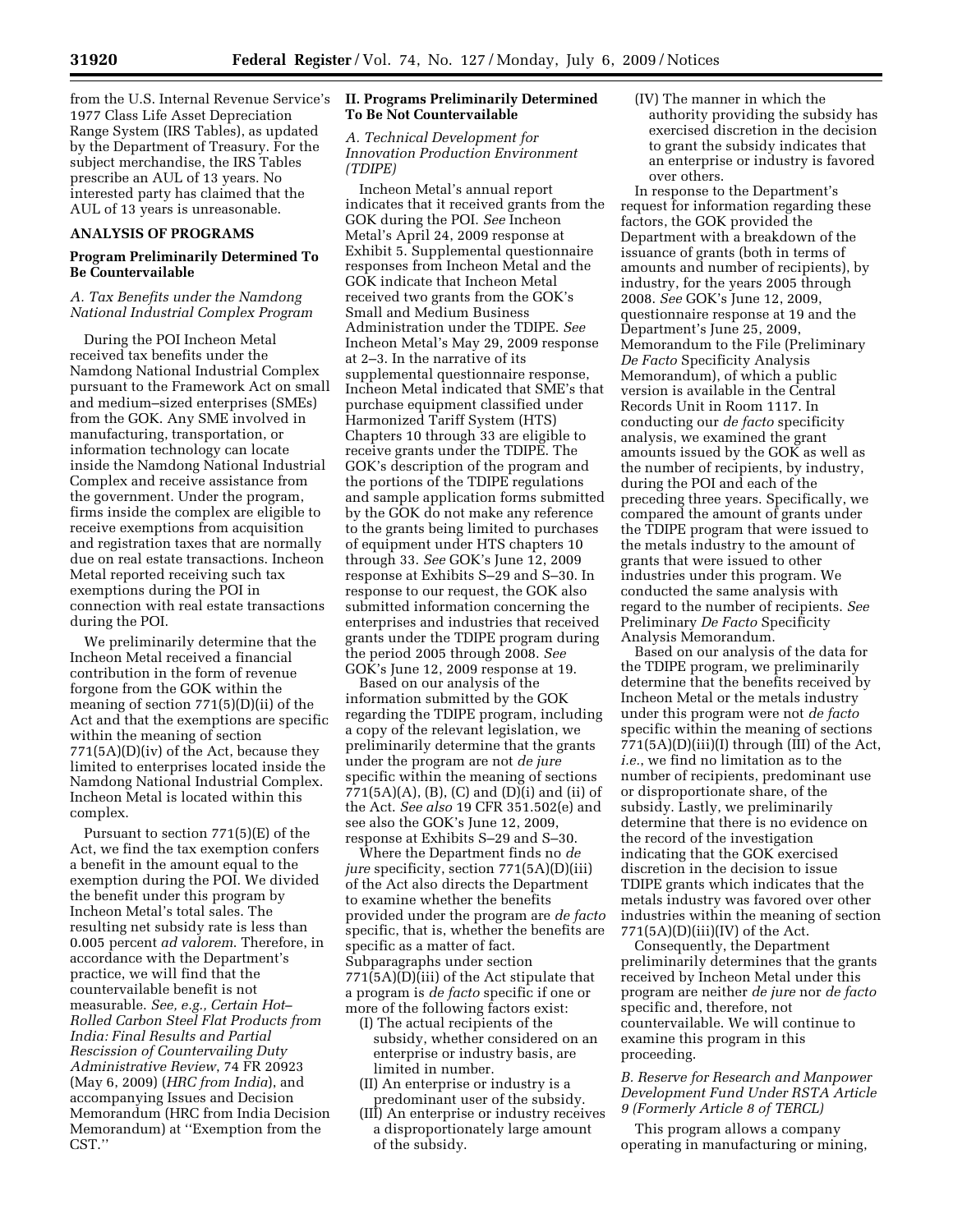from the U.S. Internal Revenue Service's 1977 Class Life Asset Depreciation Range System (IRS Tables), as updated by the Department of Treasury. For the subject merchandise, the IRS Tables prescribe an AUL of 13 years. No interested party has claimed that the AUL of 13 years is unreasonable.

### **ANALYSIS OF PROGRAMS**

# **Program Preliminarily Determined To Be Countervailable**

# *A. Tax Benefits under the Namdong National Industrial Complex Program*

During the POI Incheon Metal received tax benefits under the Namdong National Industrial Complex pursuant to the Framework Act on small and medium–sized enterprises (SMEs) from the GOK. Any SME involved in manufacturing, transportation, or information technology can locate inside the Namdong National Industrial Complex and receive assistance from the government. Under the program, firms inside the complex are eligible to receive exemptions from acquisition and registration taxes that are normally due on real estate transactions. Incheon Metal reported receiving such tax exemptions during the POI in connection with real estate transactions during the POI.

We preliminarily determine that the Incheon Metal received a financial contribution in the form of revenue forgone from the GOK within the meaning of section 771(5)(D)(ii) of the Act and that the exemptions are specific within the meaning of section 771(5A)(D)(iv) of the Act, because they limited to enterprises located inside the Namdong National Industrial Complex. Incheon Metal is located within this complex.

Pursuant to section 771(5)(E) of the Act, we find the tax exemption confers a benefit in the amount equal to the exemption during the POI. We divided the benefit under this program by Incheon Metal's total sales. The resulting net subsidy rate is less than 0.005 percent *ad valorem*. Therefore, in accordance with the Department's practice, we will find that the countervailable benefit is not measurable. *See, e.g., Certain Hot– Rolled Carbon Steel Flat Products from India: Final Results and Partial Rescission of Countervailing Duty Administrative Review*, 74 FR 20923 (May 6, 2009) (*HRC from India*), and accompanying Issues and Decision Memorandum (HRC from India Decision Memorandum) at ''Exemption from the CST.''

# **II. Programs Preliminarily Determined To Be Not Countervailable**

# *A. Technical Development for Innovation Production Environment (TDIPE)*

Incheon Metal's annual report indicates that it received grants from the GOK during the POI. *See* Incheon Metal's April 24, 2009 response at Exhibit 5. Supplemental questionnaire responses from Incheon Metal and the GOK indicate that Incheon Metal received two grants from the GOK's Small and Medium Business Administration under the TDIPE. *See*  Incheon Metal's May 29, 2009 response at 2–3. In the narrative of its supplemental questionnaire response, Incheon Metal indicated that SME's that purchase equipment classified under Harmonized Tariff System (HTS) Chapters 10 through 33 are eligible to receive grants under the TDIPE. The GOK's description of the program and the portions of the TDIPE regulations and sample application forms submitted by the GOK do not make any reference to the grants being limited to purchases of equipment under HTS chapters 10 through 33. *See* GOK's June 12, 2009 response at Exhibits S–29 and S–30. In response to our request, the GOK also submitted information concerning the enterprises and industries that received grants under the TDIPE program during the period 2005 through 2008. *See*  GOK's June 12, 2009 response at 19.

Based on our analysis of the information submitted by the GOK regarding the TDIPE program, including a copy of the relevant legislation, we preliminarily determine that the grants under the program are not *de jure*  specific within the meaning of sections  $771(5A)(A)$ , (B), (C) and (D)(i) and (ii) of the Act. *See also* 19 CFR 351.502(e) and see also the GOK's June 12, 2009, response at Exhibits S–29 and S–30.

Where the Department finds no *de jure* specificity, section 771(5A)(D)(iii) of the Act also directs the Department to examine whether the benefits provided under the program are *de facto*  specific, that is, whether the benefits are specific as a matter of fact. Subparagraphs under section 771(5A)(D)(iii) of the Act stipulate that a program is *de facto* specific if one or more of the following factors exist:

- (I) The actual recipients of the subsidy, whether considered on an enterprise or industry basis, are limited in number.
- (II) An enterprise or industry is a predominant user of the subsidy.
- (III) An enterprise or industry receives a disproportionately large amount of the subsidy.

(IV) The manner in which the authority providing the subsidy has exercised discretion in the decision to grant the subsidy indicates that an enterprise or industry is favored over others.

In response to the Department's request for information regarding these factors, the GOK provided the Department with a breakdown of the issuance of grants (both in terms of amounts and number of recipients), by industry, for the years 2005 through 2008. *See* GOK's June 12, 2009, questionnaire response at 19 and the Department's June 25, 2009, Memorandum to the File (Preliminary *De Facto* Specificity Analysis Memorandum), of which a public version is available in the Central Records Unit in Room 1117. In conducting our *de facto* specificity analysis, we examined the grant amounts issued by the GOK as well as the number of recipients, by industry, during the POI and each of the preceding three years. Specifically, we compared the amount of grants under the TDIPE program that were issued to the metals industry to the amount of grants that were issued to other industries under this program. We conducted the same analysis with regard to the number of recipients. *See*  Preliminary *De Facto* Specificity Analysis Memorandum.

Based on our analysis of the data for the TDIPE program, we preliminarily determine that the benefits received by Incheon Metal or the metals industry under this program were not *de facto*  specific within the meaning of sections 771(5A)(D)(iii)(I) through (III) of the Act, *i.e.*, we find no limitation as to the number of recipients, predominant use or disproportionate share, of the subsidy. Lastly, we preliminarily determine that there is no evidence on the record of the investigation indicating that the GOK exercised discretion in the decision to issue TDIPE grants which indicates that the metals industry was favored over other industries within the meaning of section  $771(5A)(D)(iii)(IV)$  of the Act.

Consequently, the Department preliminarily determines that the grants received by Incheon Metal under this program are neither *de jure* nor *de facto*  specific and, therefore, not countervailable. We will continue to examine this program in this proceeding.

*B. Reserve for Research and Manpower Development Fund Under RSTA Article 9 (Formerly Article 8 of TERCL)* 

This program allows a company operating in manufacturing or mining,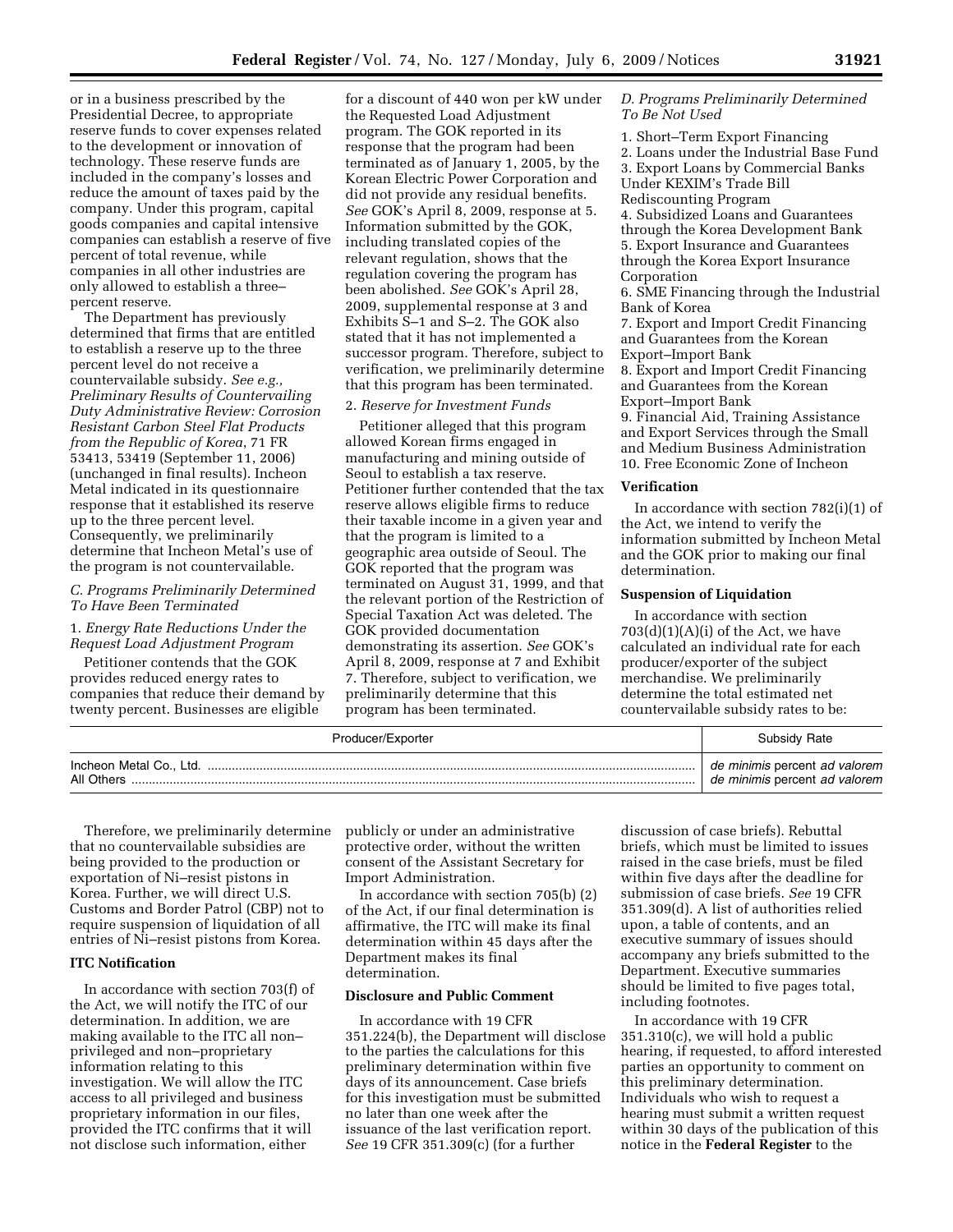or in a business prescribed by the Presidential Decree, to appropriate reserve funds to cover expenses related to the development or innovation of technology. These reserve funds are included in the company's losses and reduce the amount of taxes paid by the company. Under this program, capital goods companies and capital intensive companies can establish a reserve of five percent of total revenue, while companies in all other industries are only allowed to establish a three– percent reserve.

The Department has previously determined that firms that are entitled to establish a reserve up to the three percent level do not receive a countervailable subsidy. *See e.g., Preliminary Results of Countervailing Duty Administrative Review: Corrosion Resistant Carbon Steel Flat Products from the Republic of Korea*, 71 FR 53413, 53419 (September 11, 2006) (unchanged in final results). Incheon Metal indicated in its questionnaire response that it established its reserve up to the three percent level. Consequently, we preliminarily determine that Incheon Metal's use of the program is not countervailable.

## *C. Programs Preliminarily Determined To Have Been Terminated*

# 1. *Energy Rate Reductions Under the Request Load Adjustment Program*

Petitioner contends that the GOK provides reduced energy rates to companies that reduce their demand by twenty percent. Businesses are eligible

for a discount of 440 won per kW under the Requested Load Adjustment program. The GOK reported in its response that the program had been terminated as of January 1, 2005, by the Korean Electric Power Corporation and did not provide any residual benefits. *See* GOK's April 8, 2009, response at 5. Information submitted by the GOK, including translated copies of the relevant regulation, shows that the regulation covering the program has been abolished. *See* GOK's April 28, 2009, supplemental response at 3 and Exhibits S–1 and S–2. The GOK also stated that it has not implemented a successor program. Therefore, subject to verification, we preliminarily determine that this program has been terminated.

#### 2. *Reserve for Investment Funds*

Petitioner alleged that this program allowed Korean firms engaged in manufacturing and mining outside of Seoul to establish a tax reserve. Petitioner further contended that the tax reserve allows eligible firms to reduce their taxable income in a given year and that the program is limited to a geographic area outside of Seoul. The GOK reported that the program was terminated on August 31, 1999, and that the relevant portion of the Restriction of Special Taxation Act was deleted. The GOK provided documentation demonstrating its assertion. *See* GOK's April 8, 2009, response at 7 and Exhibit 7. Therefore, subject to verification, we preliminarily determine that this program has been terminated.

*D. Programs Preliminarily Determined To Be Not Used* 

1. Short–Term Export Financing 2. Loans under the Industrial Base Fund 3. Export Loans by Commercial Banks Under KEXIM's Trade Bill Rediscounting Program 4. Subsidized Loans and Guarantees through the Korea Development Bank 5. Export Insurance and Guarantees through the Korea Export Insurance Corporation 6. SME Financing through the Industrial Bank of Korea

7. Export and Import Credit Financing and Guarantees from the Korean Export–Import Bank 8. Export and Import Credit Financing and Guarantees from the Korean

Export–Import Bank

9. Financial Aid, Training Assistance and Export Services through the Small and Medium Business Administration 10. Free Economic Zone of Incheon

## **Verification**

In accordance with section 782(i)(1) of the Act, we intend to verify the information submitted by Incheon Metal and the GOK prior to making our final determination.

#### **Suspension of Liquidation**

In accordance with section  $703(d)(1)(A)(i)$  of the Act, we have calculated an individual rate for each producer/exporter of the subject merchandise. We preliminarily determine the total estimated net countervailable subsidy rates to be:

| Producer/Exporter                     | Subsidy Rate                                                   |
|---------------------------------------|----------------------------------------------------------------|
| Incheon Metal Co., Ltd.<br>All Others | de minimis percent ad valorem<br>de minimis percent ad valorem |

Therefore, we preliminarily determine that no countervailable subsidies are being provided to the production or exportation of Ni–resist pistons in Korea. Further, we will direct U.S. Customs and Border Patrol (CBP) not to require suspension of liquidation of all entries of Ni–resist pistons from Korea.

# **ITC Notification**

In accordance with section 703(f) of the Act, we will notify the ITC of our determination. In addition, we are making available to the ITC all non– privileged and non–proprietary information relating to this investigation. We will allow the ITC access to all privileged and business proprietary information in our files, provided the ITC confirms that it will not disclose such information, either

publicly or under an administrative protective order, without the written consent of the Assistant Secretary for Import Administration.

In accordance with section 705(b) (2) of the Act, if our final determination is affirmative, the ITC will make its final determination within 45 days after the Department makes its final determination.

### **Disclosure and Public Comment**

In accordance with 19 CFR 351.224(b), the Department will disclose to the parties the calculations for this preliminary determination within five days of its announcement. Case briefs for this investigation must be submitted no later than one week after the issuance of the last verification report. *See* 19 CFR 351.309(c) (for a further

discussion of case briefs). Rebuttal briefs, which must be limited to issues raised in the case briefs, must be filed within five days after the deadline for submission of case briefs. *See* 19 CFR 351.309(d). A list of authorities relied upon, a table of contents, and an executive summary of issues should accompany any briefs submitted to the Department. Executive summaries should be limited to five pages total, including footnotes.

In accordance with 19 CFR 351.310(c), we will hold a public hearing, if requested, to afford interested parties an opportunity to comment on this preliminary determination. Individuals who wish to request a hearing must submit a written request within 30 days of the publication of this notice in the **Federal Register** to the